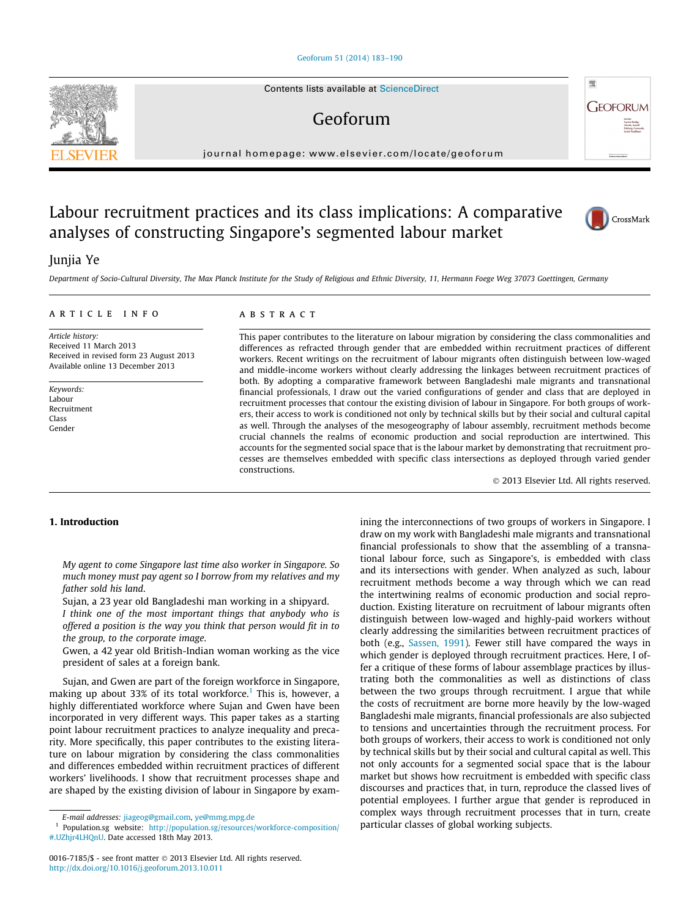#### [Geoforum 51 \(2014\) 183–190](http://dx.doi.org/10.1016/j.geoforum.2013.10.011)

Contents lists available at [ScienceDirect](http://www.sciencedirect.com/science/journal/00167185)

## Geoforum

journal homepage: [www.elsevier.com/locate/geoforum](http://www.elsevier.com/locate/geoforum)

## Labour recruitment practices and its class implications: A comparative analyses of constructing Singapore's segmented labour market

### Junjia Ye

Department of Socio-Cultural Diversity, The Max Planck Institute for the Study of Religious and Ethnic Diversity, 11, Hermann Foege Weg 37073 Goettingen, Germany

#### article info

Article history: Received 11 March 2013 Received in revised form 23 August 2013 Available online 13 December 2013

Keywords: Labour Recruitment Class Gender

#### ABSTRACT

This paper contributes to the literature on labour migration by considering the class commonalities and differences as refracted through gender that are embedded within recruitment practices of different workers. Recent writings on the recruitment of labour migrants often distinguish between low-waged and middle-income workers without clearly addressing the linkages between recruitment practices of both. By adopting a comparative framework between Bangladeshi male migrants and transnational financial professionals, I draw out the varied configurations of gender and class that are deployed in recruitment processes that contour the existing division of labour in Singapore. For both groups of workers, their access to work is conditioned not only by technical skills but by their social and cultural capital as well. Through the analyses of the mesogeography of labour assembly, recruitment methods become crucial channels the realms of economic production and social reproduction are intertwined. This accounts for the segmented social space that is the labour market by demonstrating that recruitment processes are themselves embedded with specific class intersections as deployed through varied gender constructions.

- 2013 Elsevier Ltd. All rights reserved.

#### 1. Introduction

My agent to come Singapore last time also worker in Singapore. So much money must pay agent so I borrow from my relatives and my father sold his land.

Sujan, a 23 year old Bangladeshi man working in a shipyard.

I think one of the most important things that anybody who is offered a position is the way you think that person would fit in to the group, to the corporate image.

Gwen, a 42 year old British-Indian woman working as the vice president of sales at a foreign bank.

Sujan, and Gwen are part of the foreign workforce in Singapore, making up about 33% of its total workforce.<sup>1</sup> This is, however, a highly differentiated workforce where Sujan and Gwen have been incorporated in very different ways. This paper takes as a starting point labour recruitment practices to analyze inequality and precarity. More specifically, this paper contributes to the existing literature on labour migration by considering the class commonalities and differences embedded within recruitment practices of different workers' livelihoods. I show that recruitment processes shape and are shaped by the existing division of labour in Singapore by examining the interconnections of two groups of workers in Singapore. I draw on my work with Bangladeshi male migrants and transnational financial professionals to show that the assembling of a transnational labour force, such as Singapore's, is embedded with class and its intersections with gender. When analyzed as such, labour recruitment methods become a way through which we can read the intertwining realms of economic production and social reproduction. Existing literature on recruitment of labour migrants often distinguish between low-waged and highly-paid workers without clearly addressing the similarities between recruitment practices of both (e.g., [Sassen, 1991](#page--1-0)). Fewer still have compared the ways in which gender is deployed through recruitment practices. Here, I offer a critique of these forms of labour assemblage practices by illustrating both the commonalities as well as distinctions of class between the two groups through recruitment. I argue that while the costs of recruitment are borne more heavily by the low-waged Bangladeshi male migrants, financial professionals are also subjected to tensions and uncertainties through the recruitment process. For both groups of workers, their access to work is conditioned not only by technical skills but by their social and cultural capital as well. This not only accounts for a segmented social space that is the labour market but shows how recruitment is embedded with specific class discourses and practices that, in turn, reproduce the classed lives of potential employees. I further argue that gender is reproduced in complex ways through recruitment processes that in turn, create particular classes of global working subjects.





**GEOFORUM** 

牌

E-mail addresses: [jiageog@gmail.com,](mailto:jiageog@gmail.com) [ye@mmg.mpg.de](mailto:ye@mmg.mpg.de)

<sup>1</sup> Population.sg website: [http://population.sg/resources/workforce-composition/](http://population.sg/resources/workforce-composition/#.UZhjr4LHQnU) [#.UZhjr4LHQnU.](http://population.sg/resources/workforce-composition/#.UZhjr4LHQnU) Date accessed 18th May 2013.

<sup>0016-7185/\$ -</sup> see front matter © 2013 Elsevier Ltd. All rights reserved. <http://dx.doi.org/10.1016/j.geoforum.2013.10.011>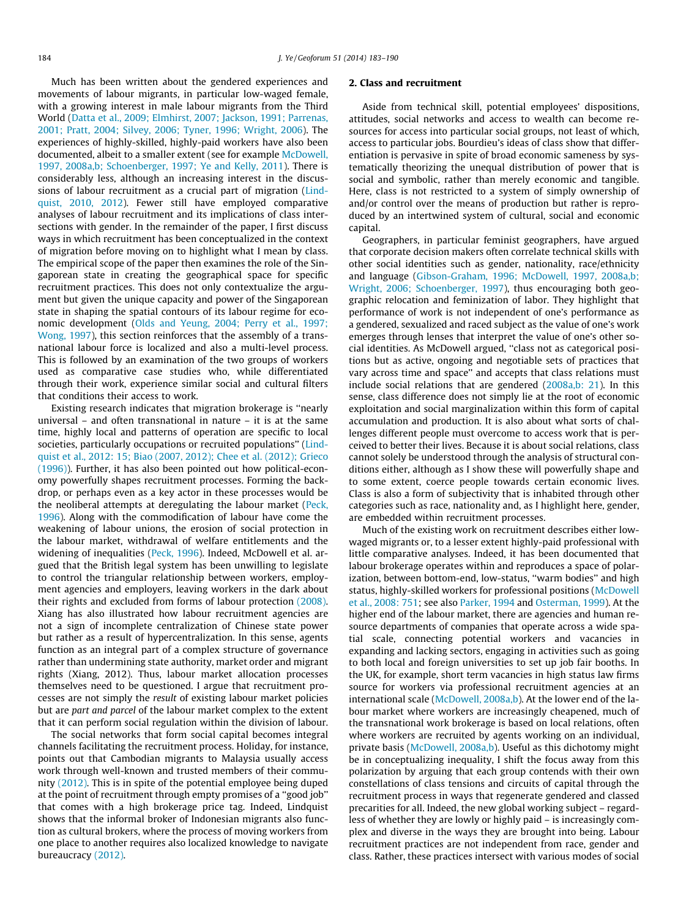Much has been written about the gendered experiences and movements of labour migrants, in particular low-waged female, with a growing interest in male labour migrants from the Third World ([Datta et al., 2009; Elmhirst, 2007; Jackson, 1991; Parrenas,](#page--1-0) [2001; Pratt, 2004; Silvey, 2006; Tyner, 1996; Wright, 2006\)](#page--1-0). The experiences of highly-skilled, highly-paid workers have also been documented, albeit to a smaller extent (see for example [McDowell,](#page--1-0) [1997, 2008a,b; Schoenberger, 1997; Ye and Kelly, 2011](#page--1-0)). There is considerably less, although an increasing interest in the discussions of labour recruitment as a crucial part of migration [\(Lind](#page--1-0)[quist, 2010, 2012](#page--1-0)). Fewer still have employed comparative analyses of labour recruitment and its implications of class intersections with gender. In the remainder of the paper, I first discuss ways in which recruitment has been conceptualized in the context of migration before moving on to highlight what I mean by class. The empirical scope of the paper then examines the role of the Singaporean state in creating the geographical space for specific recruitment practices. This does not only contextualize the argument but given the unique capacity and power of the Singaporean state in shaping the spatial contours of its labour regime for economic development [\(Olds and Yeung, 2004; Perry et al., 1997;](#page--1-0) [Wong, 1997\)](#page--1-0), this section reinforces that the assembly of a transnational labour force is localized and also a multi-level process. This is followed by an examination of the two groups of workers used as comparative case studies who, while differentiated through their work, experience similar social and cultural filters that conditions their access to work.

Existing research indicates that migration brokerage is ''nearly universal – and often transnational in nature – it is at the same time, highly local and patterns of operation are specific to local societies, particularly occupations or recruited populations'' [\(Lind](#page--1-0)[quist et al., 2012: 15; Biao \(2007, 2012\); Chee et al. \(2012\); Grieco](#page--1-0) [\(1996\)\)](#page--1-0). Further, it has also been pointed out how political-economy powerfully shapes recruitment processes. Forming the backdrop, or perhaps even as a key actor in these processes would be the neoliberal attempts at deregulating the labour market ([Peck,](#page--1-0) [1996\)](#page--1-0). Along with the commodification of labour have come the weakening of labour unions, the erosion of social protection in the labour market, withdrawal of welfare entitlements and the widening of inequalities ([Peck, 1996\)](#page--1-0). Indeed, McDowell et al. argued that the British legal system has been unwilling to legislate to control the triangular relationship between workers, employment agencies and employers, leaving workers in the dark about their rights and excluded from forms of labour protection [\(2008\).](#page--1-0) Xiang has also illustrated how labour recruitment agencies are not a sign of incomplete centralization of Chinese state power but rather as a result of hypercentralization. In this sense, agents function as an integral part of a complex structure of governance rather than undermining state authority, market order and migrant rights (Xiang, 2012). Thus, labour market allocation processes themselves need to be questioned. I argue that recruitment processes are not simply the result of existing labour market policies but are part and parcel of the labour market complex to the extent that it can perform social regulation within the division of labour.

The social networks that form social capital becomes integral channels facilitating the recruitment process. Holiday, for instance, points out that Cambodian migrants to Malaysia usually access work through well-known and trusted members of their community [\(2012\)](#page--1-0). This is in spite of the potential employee being duped at the point of recruitment through empty promises of a ''good job'' that comes with a high brokerage price tag. Indeed, Lindquist shows that the informal broker of Indonesian migrants also function as cultural brokers, where the process of moving workers from one place to another requires also localized knowledge to navigate bureaucracy [\(2012\).](#page--1-0)

#### 2. Class and recruitment

Aside from technical skill, potential employees' dispositions, attitudes, social networks and access to wealth can become resources for access into particular social groups, not least of which, access to particular jobs. Bourdieu's ideas of class show that differentiation is pervasive in spite of broad economic sameness by systematically theorizing the unequal distribution of power that is social and symbolic, rather than merely economic and tangible. Here, class is not restricted to a system of simply ownership of and/or control over the means of production but rather is reproduced by an intertwined system of cultural, social and economic capital.

Geographers, in particular feminist geographers, have argued that corporate decision makers often correlate technical skills with other social identities such as gender, nationality, race/ethnicity and language [\(Gibson-Graham, 1996; McDowell, 1997, 2008a,b;](#page--1-0) [Wright, 2006; Schoenberger, 1997\)](#page--1-0), thus encouraging both geographic relocation and feminization of labor. They highlight that performance of work is not independent of one's performance as a gendered, sexualized and raced subject as the value of one's work emerges through lenses that interpret the value of one's other social identities. As McDowell argued, ''class not as categorical positions but as active, ongoing and negotiable sets of practices that vary across time and space'' and accepts that class relations must include social relations that are gendered [\(2008a,b: 21](#page--1-0)). In this sense, class difference does not simply lie at the root of economic exploitation and social marginalization within this form of capital accumulation and production. It is also about what sorts of challenges different people must overcome to access work that is perceived to better their lives. Because it is about social relations, class cannot solely be understood through the analysis of structural conditions either, although as I show these will powerfully shape and to some extent, coerce people towards certain economic lives. Class is also a form of subjectivity that is inhabited through other categories such as race, nationality and, as I highlight here, gender, are embedded within recruitment processes.

Much of the existing work on recruitment describes either lowwaged migrants or, to a lesser extent highly-paid professional with little comparative analyses. Indeed, it has been documented that labour brokerage operates within and reproduces a space of polarization, between bottom-end, low-status, "warm bodies" and high status, highly-skilled workers for professional positions ([McDowell](#page--1-0) [et al., 2008: 751;](#page--1-0) see also [Parker, 1994](#page--1-0) and [Osterman, 1999](#page--1-0)). At the higher end of the labour market, there are agencies and human resource departments of companies that operate across a wide spatial scale, connecting potential workers and vacancies in expanding and lacking sectors, engaging in activities such as going to both local and foreign universities to set up job fair booths. In the UK, for example, short term vacancies in high status law firms source for workers via professional recruitment agencies at an international scale [\(McDowell, 2008a,b](#page--1-0)). At the lower end of the labour market where workers are increasingly cheapened, much of the transnational work brokerage is based on local relations, often where workers are recruited by agents working on an individual, private basis ([McDowell, 2008a,b](#page--1-0)). Useful as this dichotomy might be in conceptualizing inequality, I shift the focus away from this polarization by arguing that each group contends with their own constellations of class tensions and circuits of capital through the recruitment process in ways that regenerate gendered and classed precarities for all. Indeed, the new global working subject – regardless of whether they are lowly or highly paid – is increasingly complex and diverse in the ways they are brought into being. Labour recruitment practices are not independent from race, gender and class. Rather, these practices intersect with various modes of social